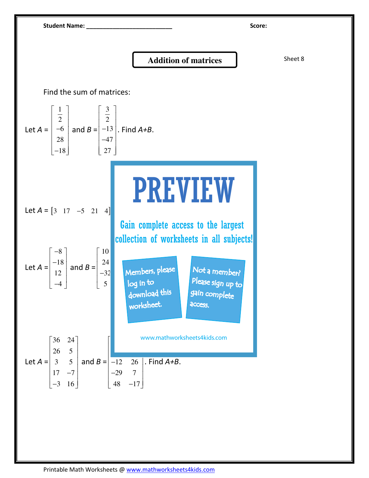